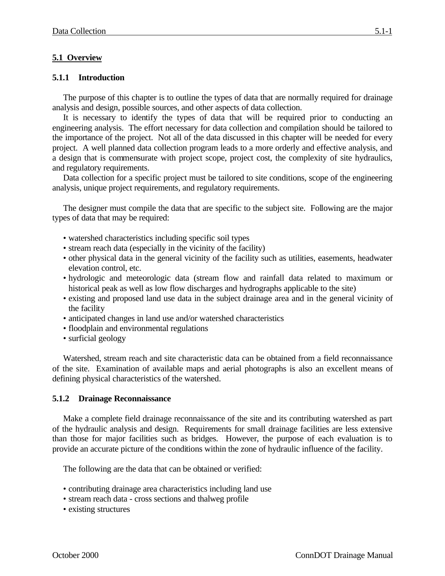## **5.1 Overview**

## **5.1.1 Introduction**

The purpose of this chapter is to outline the types of data that are normally required for drainage analysis and design, possible sources, and other aspects of data collection.

It is necessary to identify the types of data that will be required prior to conducting an engineering analysis. The effort necessary for data collection and compilation should be tailored to the importance of the project. Not all of the data discussed in this chapter will be needed for every project. A well planned data collection program leads to a more orderly and effective analysis, and a design that is commensurate with project scope, project cost, the complexity of site hydraulics, and regulatory requirements.

Data collection for a specific project must be tailored to site conditions, scope of the engineering analysis, unique project requirements, and regulatory requirements.

The designer must compile the data that are specific to the subject site. Following are the major types of data that may be required:

- watershed characteristics including specific soil types
- stream reach data (especially in the vicinity of the facility)
- other physical data in the general vicinity of the facility such as utilities, easements, headwater elevation control, etc.
- hydrologic and meteorologic data (stream flow and rainfall data related to maximum or historical peak as well as low flow discharges and hydrographs applicable to the site)
- existing and proposed land use data in the subject drainage area and in the general vicinity of the facility
- anticipated changes in land use and/or watershed characteristics
- floodplain and environmental regulations
- surficial geology

Watershed, stream reach and site characteristic data can be obtained from a field reconnaissance of the site. Examination of available maps and aerial photographs is also an excellent means of defining physical characteristics of the watershed.

## **5.1.2 Drainage Reconnaissance**

Make a complete field drainage reconnaissance of the site and its contributing watershed as part of the hydraulic analysis and design. Requirements for small drainage facilities are less extensive than those for major facilities such as bridges. However, the purpose of each evaluation is to provide an accurate picture of the conditions within the zone of hydraulic influence of the facility.

The following are the data that can be obtained or verified:

- contributing drainage area characteristics including land use
- stream reach data cross sections and thalweg profile
- existing structures